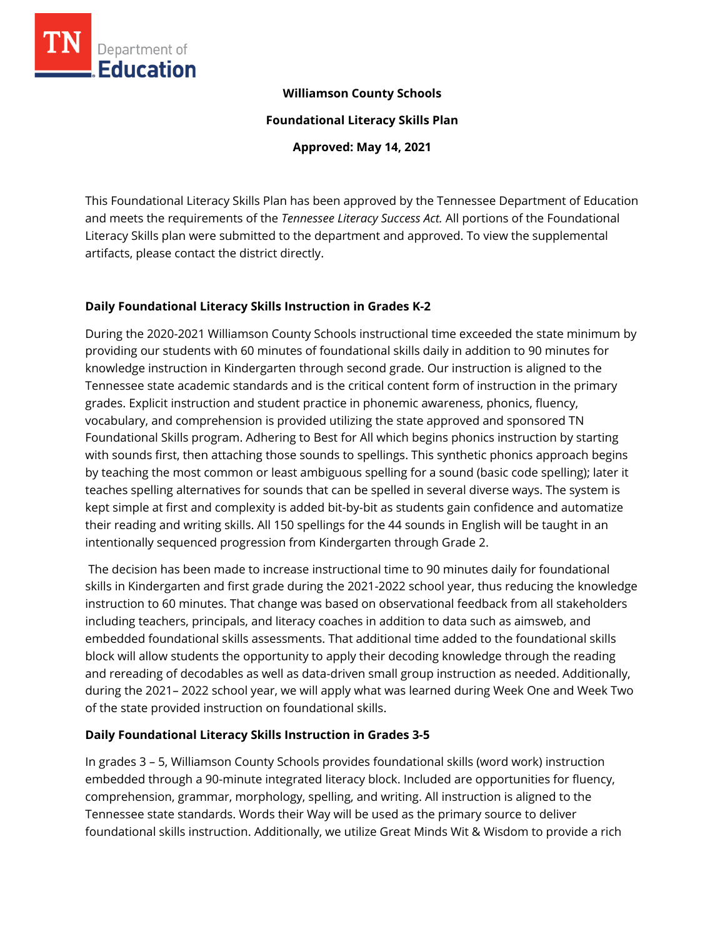

### **Williamson County Schools**

**Foundational Literacy Skills Plan**

**Approved: May 14, 2021**

This Foundational Literacy Skills Plan has been approved by the Tennessee Department of Education and meets the requirements of the *Tennessee Literacy Success Act.* All portions of the Foundational Literacy Skills plan were submitted to the department and approved. To view the supplemental artifacts, please contact the district directly.

## **Daily Foundational Literacy Skills Instruction in Grades K-2**

During the 2020-2021 Williamson County Schools instructional time exceeded the state minimum by providing our students with 60 minutes of foundational skills daily in addition to 90 minutes for knowledge instruction in Kindergarten through second grade. Our instruction is aligned to the Tennessee state academic standards and is the critical content form of instruction in the primary grades. Explicit instruction and student practice in phonemic awareness, phonics, fluency, vocabulary, and comprehension is provided utilizing the state approved and sponsored TN Foundational Skills program. Adhering to Best for All which begins phonics instruction by starting with sounds first, then attaching those sounds to spellings. This synthetic phonics approach begins by teaching the most common or least ambiguous spelling for a sound (basic code spelling); later it teaches spelling alternatives for sounds that can be spelled in several diverse ways. The system is kept simple at first and complexity is added bit-by-bit as students gain confidence and automatize their reading and writing skills. All 150 spellings for the 44 sounds in English will be taught in an intentionally sequenced progression from Kindergarten through Grade 2.

The decision has been made to increase instructional time to 90 minutes daily for foundational skills in Kindergarten and first grade during the 2021-2022 school year, thus reducing the knowledge instruction to 60 minutes. That change was based on observational feedback from all stakeholders including teachers, principals, and literacy coaches in addition to data such as aimsweb, and embedded foundational skills assessments. That additional time added to the foundational skills block will allow students the opportunity to apply their decoding knowledge through the reading and rereading of decodables as well as data-driven small group instruction as needed. Additionally, during the 2021– 2022 school year, we will apply what was learned during Week One and Week Two of the state provided instruction on foundational skills.

# **Daily Foundational Literacy Skills Instruction in Grades 3-5**

In grades 3 – 5, Williamson County Schools provides foundational skills (word work) instruction embedded through a 90-minute integrated literacy block. Included are opportunities for fluency, comprehension, grammar, morphology, spelling, and writing. All instruction is aligned to the Tennessee state standards. Words their Way will be used as the primary source to deliver foundational skills instruction. Additionally, we utilize Great Minds Wit & Wisdom to provide a rich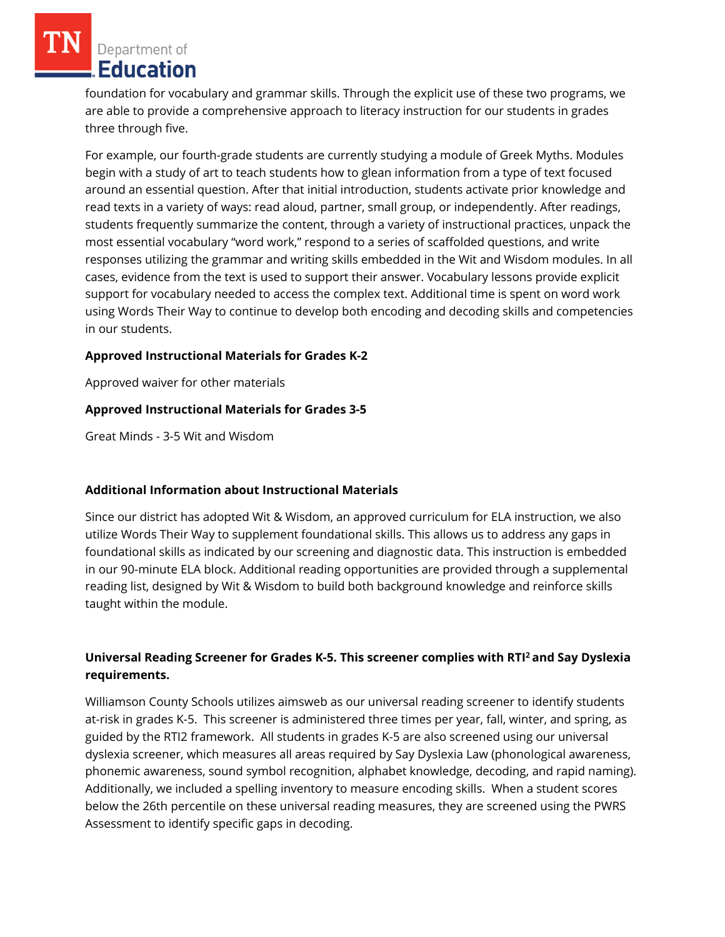Department of Education

foundation for vocabulary and grammar skills. Through the explicit use of these two programs, we are able to provide a comprehensive approach to literacy instruction for our students in grades three through five.

For example, our fourth-grade students are currently studying a module of Greek Myths. Modules begin with a study of art to teach students how to glean information from a type of text focused around an essential question. After that initial introduction, students activate prior knowledge and read texts in a variety of ways: read aloud, partner, small group, or independently. After readings, students frequently summarize the content, through a variety of instructional practices, unpack the most essential vocabulary "word work," respond to a series of scaffolded questions, and write responses utilizing the grammar and writing skills embedded in the Wit and Wisdom modules. In all cases, evidence from the text is used to support their answer. Vocabulary lessons provide explicit support for vocabulary needed to access the complex text. Additional time is spent on word work using Words Their Way to continue to develop both encoding and decoding skills and competencies in our students.

#### **Approved Instructional Materials for Grades K-2**

Approved waiver for other materials

### **Approved Instructional Materials for Grades 3-5**

Great Minds - 3-5 Wit and Wisdom

### **Additional Information about Instructional Materials**

Since our district has adopted Wit & Wisdom, an approved curriculum for ELA instruction, we also utilize Words Their Way to supplement foundational skills. This allows us to address any gaps in foundational skills as indicated by our screening and diagnostic data. This instruction is embedded in our 90-minute ELA block. Additional reading opportunities are provided through a supplemental reading list, designed by Wit & Wisdom to build both background knowledge and reinforce skills taught within the module.

# **Universal Reading Screener for Grades K-5. This screener complies with RTI<sup>2</sup>and Say Dyslexia requirements.**

Williamson County Schools utilizes aimsweb as our universal reading screener to identify students at-risk in grades K-5. This screener is administered three times per year, fall, winter, and spring, as guided by the RTI2 framework. All students in grades K-5 are also screened using our universal dyslexia screener, which measures all areas required by Say Dyslexia Law (phonological awareness, phonemic awareness, sound symbol recognition, alphabet knowledge, decoding, and rapid naming). Additionally, we included a spelling inventory to measure encoding skills. When a student scores below the 26th percentile on these universal reading measures, they are screened using the PWRS Assessment to identify specific gaps in decoding.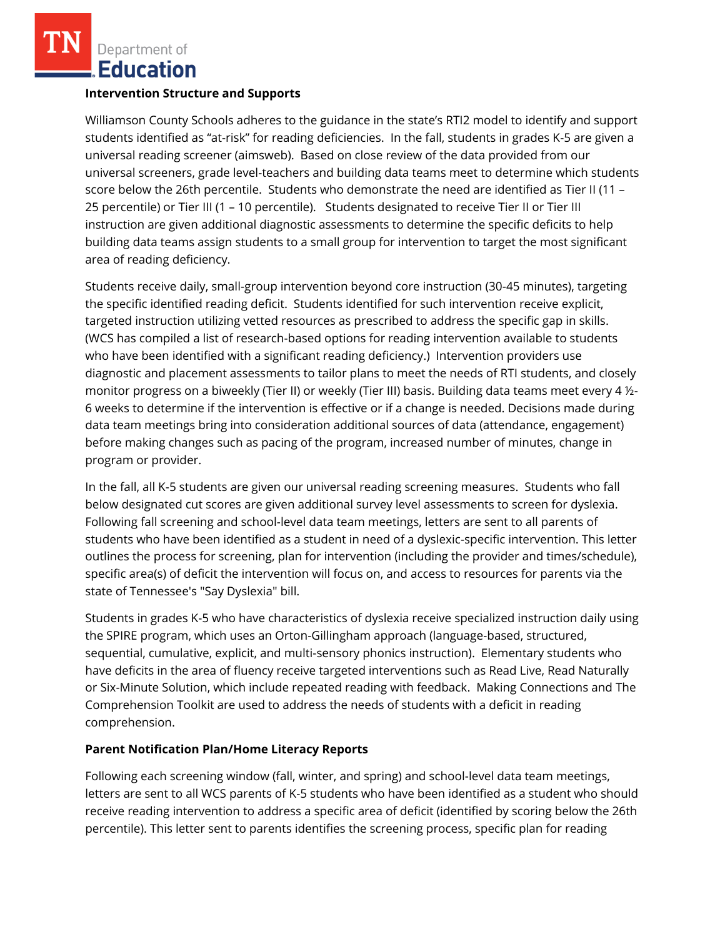Department of **Education** 

#### **Intervention Structure and Supports**

Williamson County Schools adheres to the guidance in the state's RTI2 model to identify and support students identified as "at-risk" for reading deficiencies. In the fall, students in grades K-5 are given a universal reading screener (aimsweb). Based on close review of the data provided from our universal screeners, grade level-teachers and building data teams meet to determine which students score below the 26th percentile. Students who demonstrate the need are identified as Tier II (11 – 25 percentile) or Tier III (1 – 10 percentile). Students designated to receive Tier II or Tier III instruction are given additional diagnostic assessments to determine the specific deficits to help building data teams assign students to a small group for intervention to target the most significant area of reading deficiency.

Students receive daily, small-group intervention beyond core instruction (30-45 minutes), targeting the specific identified reading deficit. Students identified for such intervention receive explicit, targeted instruction utilizing vetted resources as prescribed to address the specific gap in skills. (WCS has compiled a list of research-based options for reading intervention available to students who have been identified with a significant reading deficiency.) Intervention providers use diagnostic and placement assessments to tailor plans to meet the needs of RTI students, and closely monitor progress on a biweekly (Tier II) or weekly (Tier III) basis. Building data teams meet every 4 ½- 6 weeks to determine if the intervention is effective or if a change is needed. Decisions made during data team meetings bring into consideration additional sources of data (attendance, engagement) before making changes such as pacing of the program, increased number of minutes, change in program or provider.

In the fall, all K-5 students are given our universal reading screening measures. Students who fall below designated cut scores are given additional survey level assessments to screen for dyslexia. Following fall screening and school-level data team meetings, letters are sent to all parents of students who have been identified as a student in need of a dyslexic-specific intervention. This letter outlines the process for screening, plan for intervention (including the provider and times/schedule), specific area(s) of deficit the intervention will focus on, and access to resources for parents via the state of Tennessee's "Say Dyslexia" bill.

Students in grades K-5 who have characteristics of dyslexia receive specialized instruction daily using the SPIRE program, which uses an Orton-Gillingham approach (language-based, structured, sequential, cumulative, explicit, and multi-sensory phonics instruction). Elementary students who have deficits in the area of fluency receive targeted interventions such as Read Live, Read Naturally or Six-Minute Solution, which include repeated reading with feedback. Making Connections and The Comprehension Toolkit are used to address the needs of students with a deficit in reading comprehension.

#### **Parent Notification Plan/Home Literacy Reports**

Following each screening window (fall, winter, and spring) and school-level data team meetings, letters are sent to all WCS parents of K-5 students who have been identified as a student who should receive reading intervention to address a specific area of deficit (identified by scoring below the 26th percentile). This letter sent to parents identifies the screening process, specific plan for reading